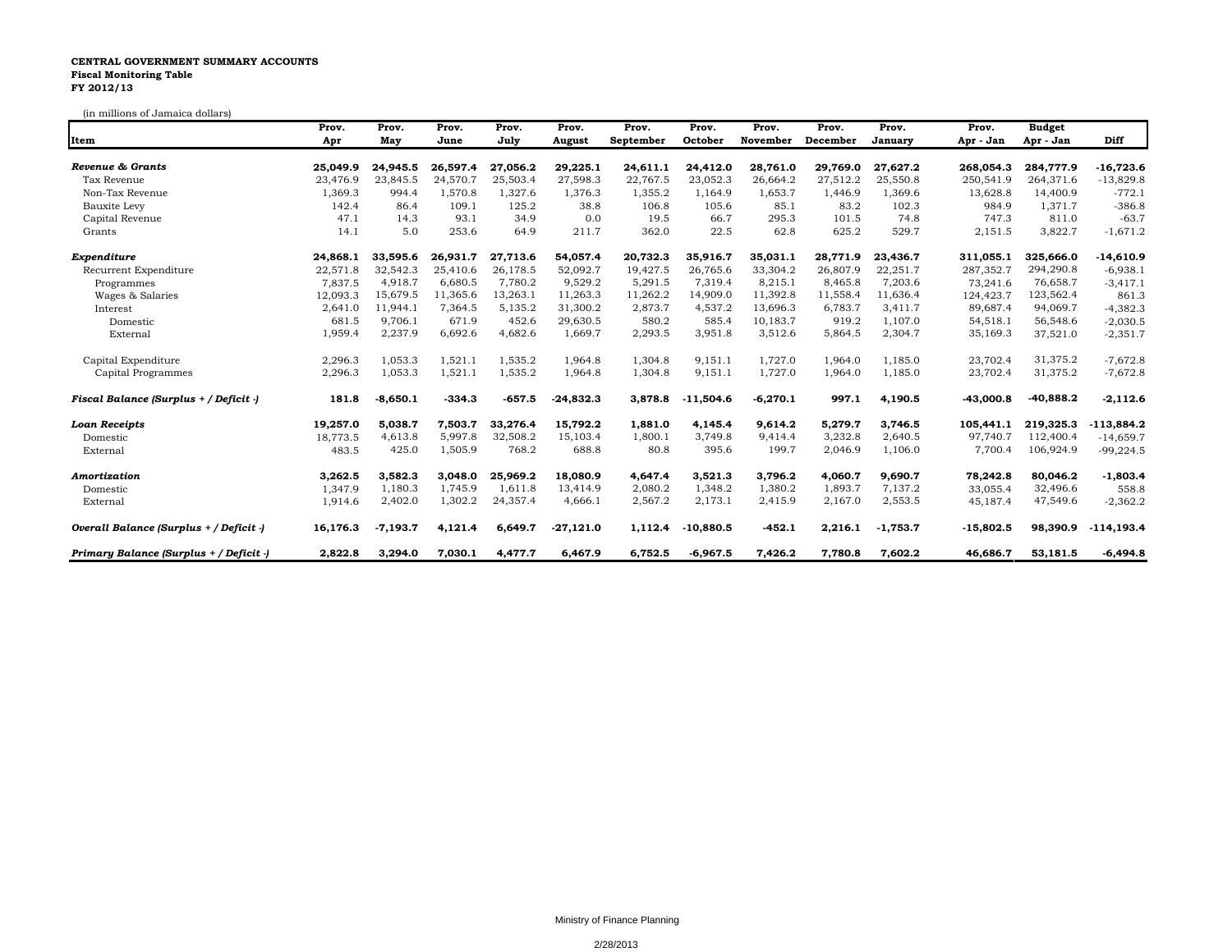## **CENTRAL GOVERNMENT SUMMARY ACCOUNTS Fiscal Monitoring Table FY 2012/13**

(in millions of Jamaica dollars)

|                                         | Prov.    | Prov.      | Prov.    | Prov.    | Prov.       | Prov.     | Prov.       | Prov.      | Prov.    | Prov.      | Prov.       | <b>Budget</b> |               |
|-----------------------------------------|----------|------------|----------|----------|-------------|-----------|-------------|------------|----------|------------|-------------|---------------|---------------|
| Item                                    | Apr      | May        | June     | July     | August      | September | October     | November   | December | January    | Apr - Jan   | Apr - Jan     | Diff          |
| Revenue & Grants                        | 25,049.9 | 24,945.5   | 26.597.4 | 27.056.2 | 29,225.1    | 24,611.1  | 24,412.0    | 28.761.0   | 29.769.0 | 27.627.2   | 268,054.3   | 284,777.9     | $-16,723.6$   |
| Tax Revenue                             | 23,476.9 | 23,845.5   | 24,570.7 | 25,503.4 | 27,598.3    | 22,767.5  | 23,052.3    | 26,664.2   | 27,512.2 | 25,550.8   | 250,541.9   | 264,371.6     | $-13,829.8$   |
| Non-Tax Revenue                         | 1,369.3  | 994.4      | 1,570.8  | 1,327.6  | 1.376.3     | 1,355.2   | 1,164.9     | 1,653.7    | 1.446.9  | 1,369.6    | 13,628.8    | 14,400.9      | $-772.1$      |
| Bauxite Levy                            | 142.4    | 86.4       | 109.1    | 125.2    | 38.8        | 106.8     | 105.6       | 85.1       | 83.2     | 102.3      | 984.9       | 1,371.7       | $-386.8$      |
| Capital Revenue                         | 47.1     | 14.3       | 93.1     | 34.9     | 0.0         | 19.5      | 66.7        | 295.3      | 101.5    | 74.8       | 747.3       | 811.0         | $-63.7$       |
| Grants                                  | 14.1     | 5.0        | 253.6    | 64.9     | 211.7       | 362.0     | 22.5        | 62.8       | 625.2    | 529.7      | 2,151.5     | 3,822.7       | $-1,671.2$    |
| Expenditure                             | 24,868.1 | 33,595.6   | 26,931.7 | 27,713.6 | 54,057.4    | 20,732.3  | 35,916.7    | 35,031.1   | 28,771.9 | 23,436.7   | 311,055.1   | 325,666.0     | $-14,610.9$   |
| Recurrent Expenditure                   | 22,571.8 | 32,542.3   | 25,410.6 | 26.178.5 | 52.092.7    | 19.427.5  | 26.765.6    | 33,304.2   | 26,807.9 | 22,251.7   | 287,352.7   | 294,290.8     | $-6,938.1$    |
| Programmes                              | 7,837.5  | 4,918.7    | 6,680.5  | 7,780.2  | 9,529.2     | 5,291.5   | 7,319.4     | 8,215.1    | 8,465.8  | 7,203.6    | 73,241.6    | 76,658.7      | $-3,417.1$    |
| Wages & Salaries                        | 12,093.3 | 15,679.5   | 11,365.6 | 13,263.1 | 11,263.3    | 11,262.2  | 14,909.0    | 11,392.8   | 11,558.4 | 11,636.4   | 124,423.7   | 123,562.4     | 861.3         |
| Interest                                | 2,641.0  | 11,944.1   | 7,364.5  | 5,135.2  | 31,300.2    | 2,873.7   | 4,537.2     | 13,696.3   | 6,783.7  | 3,411.7    | 89,687.4    | 94,069.7      | $-4,382.3$    |
| Domestic                                | 681.5    | 9,706.1    | 671.9    | 452.6    | 29,630.5    | 580.2     | 585.4       | 10,183.7   | 919.2    | 1,107.0    | 54,518.1    | 56,548.6      | $-2,030.5$    |
| External                                | 1,959.4  | 2,237.9    | 6,692.6  | 4,682.6  | 1,669.7     | 2,293.5   | 3,951.8     | 3,512.6    | 5,864.5  | 2,304.7    | 35,169.3    | 37,521.0      | $-2,351.7$    |
| Capital Expenditure                     | 2,296.3  | 1,053.3    | 1,521.1  | 1,535.2  | 1,964.8     | 1,304.8   | 9,151.1     | 1,727.0    | 1,964.0  | 1,185.0    | 23,702.4    | 31,375.2      | $-7,672.8$    |
| Capital Programmes                      | 2,296.3  | 1,053.3    | 1,521.1  | 1,535.2  | 1,964.8     | 1,304.8   | 9,151.1     | 1,727.0    | 1,964.0  | 1,185.0    | 23,702.4    | 31,375.2      | $-7,672.8$    |
| Fiscal Balance (Surplus + / Deficit -)  | 181.8    | $-8,650.1$ | $-334.3$ | $-657.5$ | $-24,832.3$ | 3,878.8   | $-11,504.6$ | $-6,270.1$ | 997.1    | 4,190.5    | $-43,000.8$ | $-40,888.2$   | $-2,112.6$    |
| <b>Loan Receipts</b>                    | 19,257.0 | 5,038.7    | 7,503.7  | 33.276.4 | 15,792.2    | 1.881.0   | 4,145.4     | 9,614.2    | 5,279.7  | 3,746.5    | 105.441.1   | 219,325.3     | $-113,884.2$  |
| Domestic                                | 18,773.5 | 4,613.8    | 5,997.8  | 32,508.2 | 15,103.4    | 1,800.1   | 3,749.8     | 9,414.4    | 3,232.8  | 2,640.5    | 97,740.7    | 112,400.4     | $-14,659.7$   |
| External                                | 483.5    | 425.0      | 1,505.9  | 768.2    | 688.8       | 80.8      | 395.6       | 199.7      | 2,046.9  | 1,106.0    | 7,700.4     | 106,924.9     | $-99,224.5$   |
| Amortization                            | 3,262.5  | 3,582.3    | 3,048.0  | 25,969.2 | 18,080.9    | 4,647.4   | 3,521.3     | 3,796.2    | 4,060.7  | 9,690.7    | 78,242.8    | 80,046.2      | $-1,803.4$    |
| Domestic                                | 1.347.9  | 1,180.3    | 1,745.9  | 1,611.8  | 13,414.9    | 2,080.2   | 1,348.2     | 1,380.2    | 1,893.7  | 7,137.2    | 33,055.4    | 32,496.6      | 558.8         |
| External                                | 1,914.6  | 2,402.0    | 1,302.2  | 24,357.4 | 4,666.1     | 2,567.2   | 2,173.1     | 2,415.9    | 2,167.0  | 2,553.5    | 45,187.4    | 47,549.6      | $-2,362.2$    |
| Overall Balance (Surplus + / Deficit -) | 16,176.3 | $-7,193.7$ | 4,121.4  | 6,649.7  | $-27,121.0$ | 1,112.4   | $-10,880.5$ | $-452.1$   | 2,216.1  | $-1,753.7$ | $-15,802.5$ | 98,390.9      | $-114, 193.4$ |
| Primary Balance (Surplus + / Deficit -) | 2,822.8  | 3,294.0    | 7,030.1  | 4,477.7  | 6,467.9     | 6,752.5   | $-6,967.5$  | 7,426.2    | 7,780.8  | 7,602.2    | 46,686.7    | 53,181.5      | $-6,494.8$    |